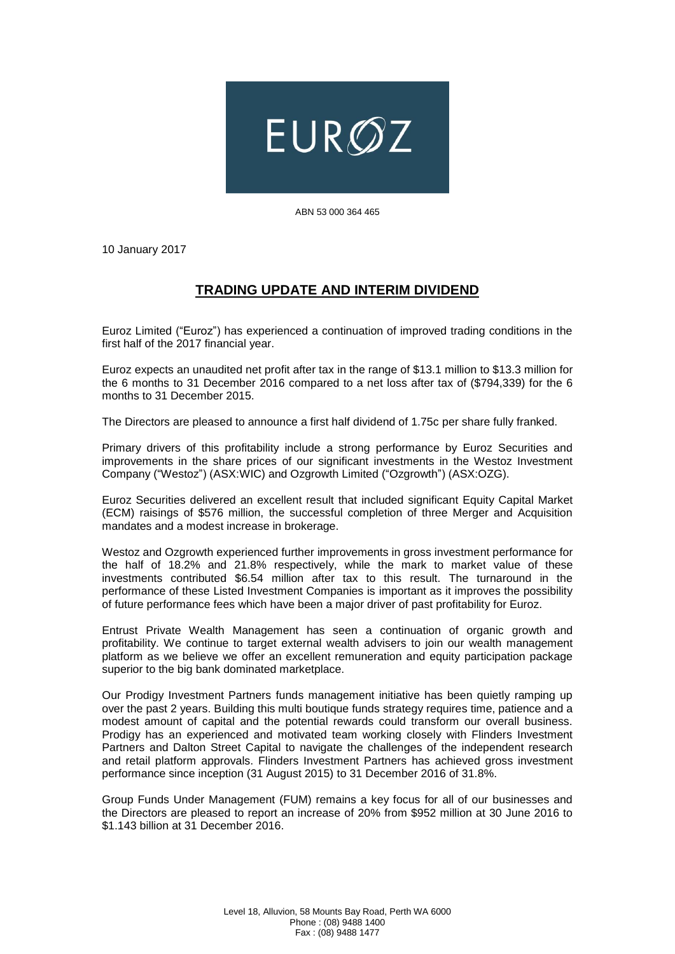

ABN 53 000 364 465

10 January 2017

## **TRADING UPDATE AND INTERIM DIVIDEND**

Euroz Limited ("Euroz") has experienced a continuation of improved trading conditions in the first half of the 2017 financial year.

Euroz expects an unaudited net profit after tax in the range of \$13.1 million to \$13.3 million for the 6 months to 31 December 2016 compared to a net loss after tax of (\$794,339) for the 6 months to 31 December 2015.

The Directors are pleased to announce a first half dividend of 1.75c per share fully franked.

Primary drivers of this profitability include a strong performance by Euroz Securities and improvements in the share prices of our significant investments in the Westoz Investment Company ("Westoz") (ASX:WIC) and Ozgrowth Limited ("Ozgrowth") (ASX:OZG).

Euroz Securities delivered an excellent result that included significant Equity Capital Market (ECM) raisings of \$576 million, the successful completion of three Merger and Acquisition mandates and a modest increase in brokerage.

Westoz and Ozgrowth experienced further improvements in gross investment performance for the half of 18.2% and 21.8% respectively, while the mark to market value of these investments contributed \$6.54 million after tax to this result. The turnaround in the performance of these Listed Investment Companies is important as it improves the possibility of future performance fees which have been a major driver of past profitability for Euroz.

Entrust Private Wealth Management has seen a continuation of organic growth and profitability. We continue to target external wealth advisers to join our wealth management platform as we believe we offer an excellent remuneration and equity participation package superior to the big bank dominated marketplace.

Our Prodigy Investment Partners funds management initiative has been quietly ramping up over the past 2 years. Building this multi boutique funds strategy requires time, patience and a modest amount of capital and the potential rewards could transform our overall business. Prodigy has an experienced and motivated team working closely with Flinders Investment Partners and Dalton Street Capital to navigate the challenges of the independent research and retail platform approvals. Flinders Investment Partners has achieved gross investment performance since inception (31 August 2015) to 31 December 2016 of 31.8%.

Group Funds Under Management (FUM) remains a key focus for all of our businesses and the Directors are pleased to report an increase of 20% from \$952 million at 30 June 2016 to \$1.143 billion at 31 December 2016.